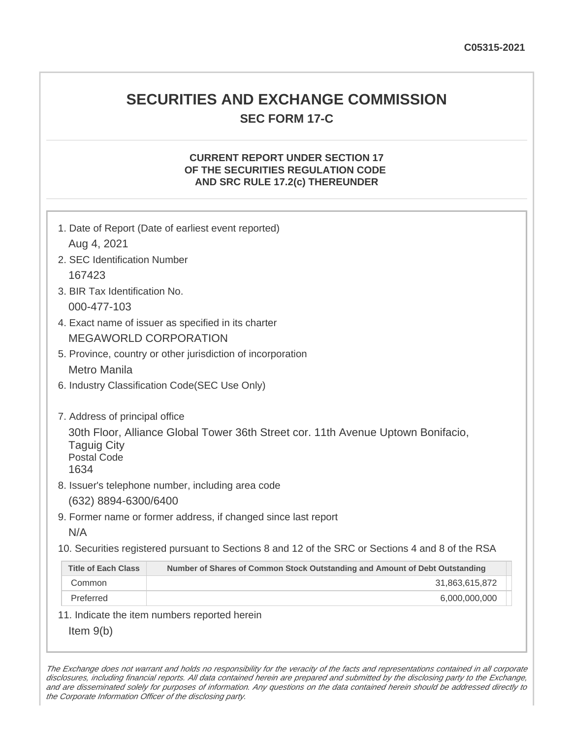### **SECURITIES AND EXCHANGE COMMISSION SEC FORM 17-C**

### **CURRENT REPORT UNDER SECTION 17 OF THE SECURITIES REGULATION CODE AND SRC RULE 17.2(c) THEREUNDER**

| Aug 4, 2021                                      | 1. Date of Report (Date of earliest event reported)                                               |
|--------------------------------------------------|---------------------------------------------------------------------------------------------------|
| 2. SEC Identification Number                     |                                                                                                   |
| 167423                                           |                                                                                                   |
| 3. BIR Tax Identification No.                    |                                                                                                   |
| 000-477-103                                      |                                                                                                   |
|                                                  | 4. Exact name of issuer as specified in its charter                                               |
|                                                  | <b>MEGAWORLD CORPORATION</b>                                                                      |
|                                                  | 5. Province, country or other jurisdiction of incorporation                                       |
| <b>Metro Manila</b>                              |                                                                                                   |
|                                                  | 6. Industry Classification Code(SEC Use Only)                                                     |
|                                                  |                                                                                                   |
| 7. Address of principal office                   |                                                                                                   |
| <b>Taguig City</b><br><b>Postal Code</b><br>1634 | 30th Floor, Alliance Global Tower 36th Street cor. 11th Avenue Uptown Bonifacio,                  |
|                                                  | 8. Issuer's telephone number, including area code                                                 |
| (632) 8894-6300/6400                             |                                                                                                   |
|                                                  | 9. Former name or former address, if changed since last report                                    |
| N/A                                              |                                                                                                   |
|                                                  | 10. Securities registered pursuant to Sections 8 and 12 of the SRC or Sections 4 and 8 of the RSA |
| <b>Title of Each Class</b>                       | Number of Shares of Common Stock Outstanding and Amount of Debt Outstanding                       |
| Common                                           | 31,863,615,872                                                                                    |
| Preferred                                        | 6,000,000,000                                                                                     |
|                                                  | 11. Indicate the item numbers reported herein                                                     |
| Item $9(b)$                                      |                                                                                                   |

The Exchange does not warrant and holds no responsibility for the veracity of the facts and representations contained in all corporate disclosures, including financial reports. All data contained herein are prepared and submitted by the disclosing party to the Exchange, and are disseminated solely for purposes of information. Any questions on the data contained herein should be addressed directly to the Corporate Information Officer of the disclosing party.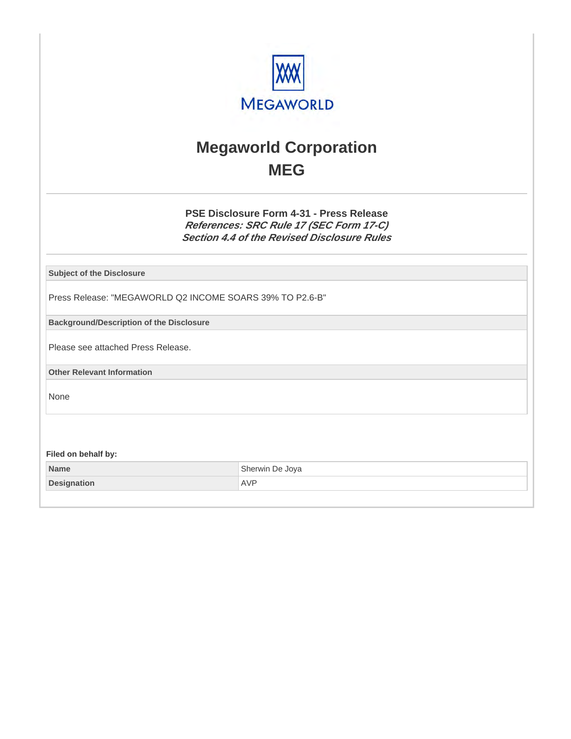

# **Megaworld Corporation MEG**

**PSE Disclosure Form 4-31 - Press Release References: SRC Rule 17 (SEC Form 17-C) Section 4.4 of the Revised Disclosure Rules**

**Subject of the Disclosure**

Press Release: "MEGAWORLD Q2 INCOME SOARS 39% TO P2.6-B"

**Background/Description of the Disclosure**

Please see attached Press Release.

**Other Relevant Information**

None

**Filed on behalf by:**

| Name               | Sherwin De Joya |
|--------------------|-----------------|
| <b>Designation</b> | AVF             |
|                    |                 |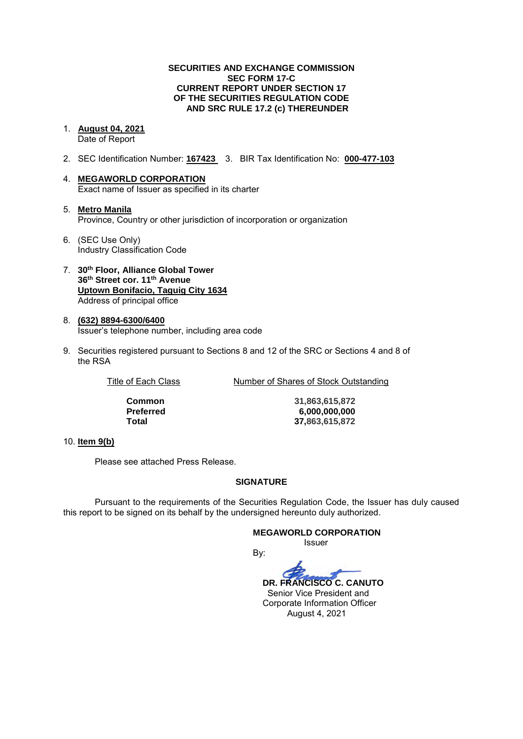#### **SECURITIES AND EXCHANGE COMMISSION SEC FORM 17-C CURRENT REPORT UNDER SECTION 17 OF THE SECURITIES REGULATION CODE AND SRC RULE 17.2 (c) THEREUNDER**

- 1. **August 04, 2021**  Date of Report
- 2. SEC Identification Number: **167423** 3. BIR Tax Identification No: **000-477-103**
- 4. **MEGAWORLD CORPORATION**  Exact name of Issuer as specified in its charter
- 5. **Metro Manila** Province, Country or other jurisdiction of incorporation or organization
- 6. (SEC Use Only) Industry Classification Code
- 7. **30th Floor, Alliance Global Tower 36th Street cor. 11th Avenue Uptown Bonifacio, Taguig City 1634** Address of principal office
- 8. **(632) 8894-6300/6400**  Issuer's telephone number, including area code
- 9. Securities registered pursuant to Sections 8 and 12 of the SRC or Sections 4 and 8 of the RSA

| Title of Each Class | Number of Shares of Stock Outstanding |
|---------------------|---------------------------------------|
|---------------------|---------------------------------------|

**Common 31,863,615,872 Preferred 6,000,000,000 Total 37,863,615,872**

#### 10. **Item 9(b)**

Please see attached Press Release.

#### **SIGNATURE**

Pursuant to the requirements of the Securities Regulation Code, the Issuer has duly caused this report to be signed on its behalf by the undersigned hereunto duly authorized.

### **MEGAWORLD CORPORATION**

*<u>Issuer</u> Issuer Issuer* 

By:

 **DR. FRANCISCO C. CANUTO**  Senior Vice President and Corporate Information Officer August 4, 2021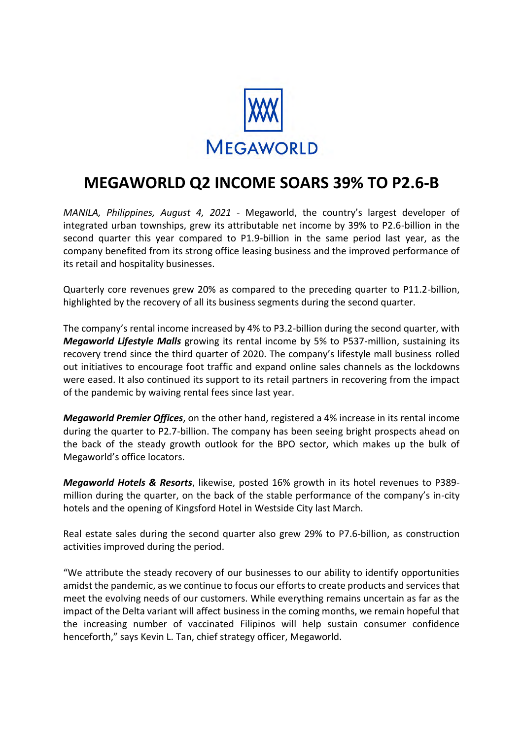

## **MEGAWORLD Q2 INCOME SOARS 39% TO P2.6-B**

*MANILA, Philippines, August 4, 2021* ‐ Megaworld, the country's largest developer of integrated urban townships, grew its attributable net income by 39% to P2.6-billion in the second quarter this year compared to P1.9-billion in the same period last year, as the company benefited from its strong office leasing business and the improved performance of its retail and hospitality businesses.

Quarterly core revenues grew 20% as compared to the preceding quarter to P11.2-billion, highlighted by the recovery of all its business segments during the second quarter.

The company's rental income increased by 4% to P3.2-billion during the second quarter, with *Megaworld Lifestyle Malls* growing its rental income by 5% to P537-million, sustaining its recovery trend since the third quarter of 2020. The company's lifestyle mall business rolled out initiatives to encourage foot traffic and expand online sales channels as the lockdowns were eased. It also continued its support to its retail partners in recovering from the impact of the pandemic by waiving rental fees since last year.

*Megaworld Premier Offices*, on the other hand, registered a 4% increase in its rental income during the quarter to P2.7-billion. The company has been seeing bright prospects ahead on the back of the steady growth outlook for the BPO sector, which makes up the bulk of Megaworld's office locators.

*Megaworld Hotels & Resorts*, likewise, posted 16% growth in its hotel revenues to P389 million during the quarter, on the back of the stable performance of the company's in-city hotels and the opening of Kingsford Hotel in Westside City last March.

Real estate sales during the second quarter also grew 29% to P7.6-billion, as construction activities improved during the period.

"We attribute the steady recovery of our businesses to our ability to identify opportunities amidst the pandemic, as we continue to focus our efforts to create products and services that meet the evolving needs of our customers. While everything remains uncertain as far as the impact of the Delta variant will affect business in the coming months, we remain hopeful that the increasing number of vaccinated Filipinos will help sustain consumer confidence henceforth," says Kevin L. Tan, chief strategy officer, Megaworld.